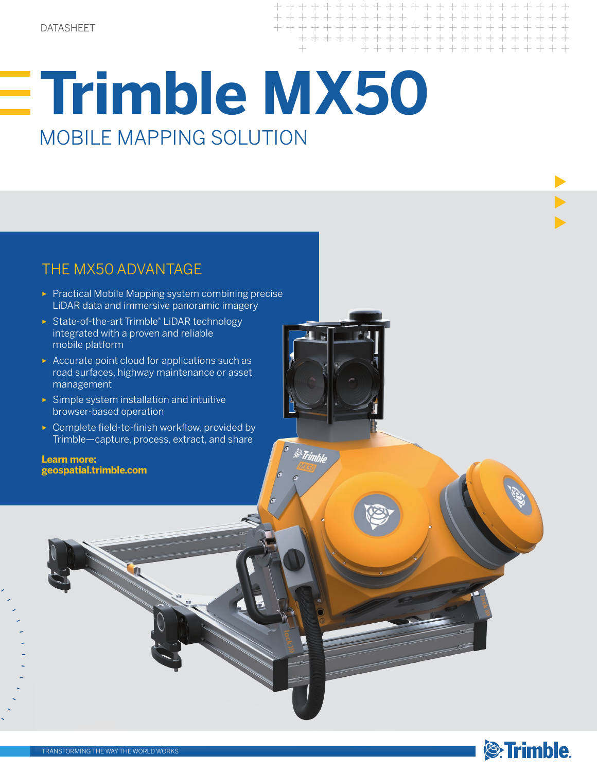$+ + + + + + + + +$ + + + + + + + + + + + + + + + + + + + + + +

# **Trimble MX50**  MOBILE MAPPING SOLUTION

### THE MX50 ADVANTAGE

- ► Practical Mobile Mapping system combining precise LiDAR data and immersive panoramic imagery
- ► State-of-the-art Trimble® LiDAR technology integrated with a proven and reliable mobile platform
- ► Accurate point cloud for applications such as road surfaces, highway maintenance or asset management
- ► Simple system installation and intuitive browser-based operation
- ► Complete field-to-finish workflow, provided by Trimble—capture, process, extract, and share

**Learn more: geospatial.trimble.com**